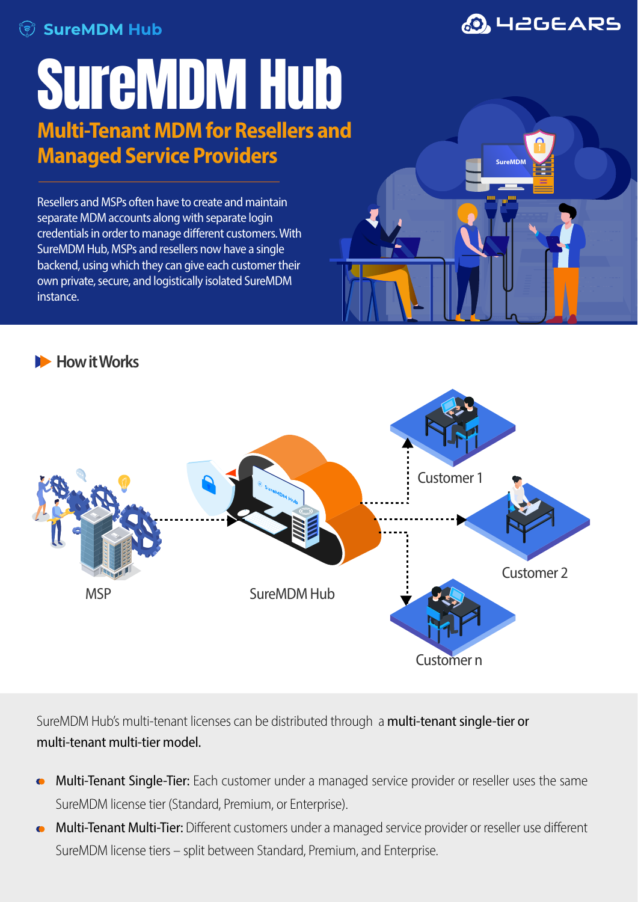

## SUIGMDMHUD **Multi-Tenant MDM for Resellers and Managed Service Providers**

Resellers and MSPs often have to create and maintain separate MDM accounts along with separate login credentials in order to manage different customers. With SureMDM Hub, MSPs and resellers now have a single backend, using which they can give each customer their own private, secure, and logistically isolated SureMDM instance.





**SureMDM** 





SureMDM Hub's multi-tenant licenses can be distributed through a multi-tenant single-tier or multi-tenant multi-tier model.

- Multi-Tenant Single-Tier: Each customer under a managed service provider or reseller uses the same SureMDM license tier (Standard, Premium, or Enterprise).
- Multi-Tenant Multi-Tier: Different customers under a managed service provider or reseller use different SureMDM license tiers - split between Standard, Premium, and Enterprise.